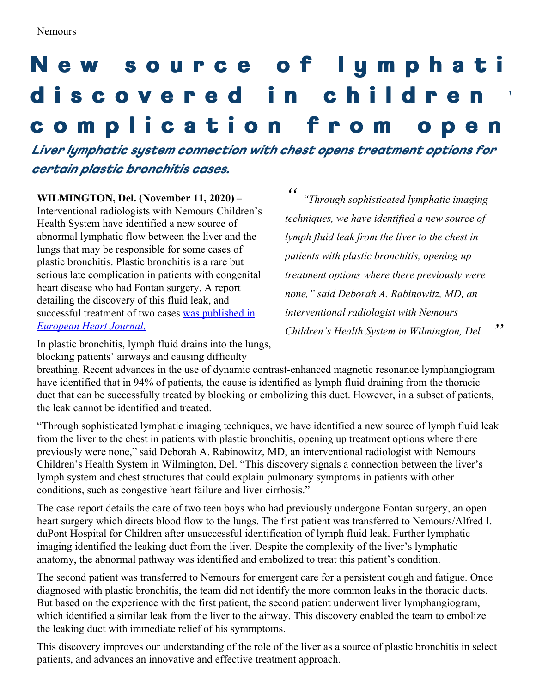## New source of lymphati discovered in children complication from ope

*Liver lymphatic system connection with chest opens treatment options for certain plastic bronchitis cases.*

**WILMINGTON, Del. (November 11, 2020) –** Interventional radiologists with Nemours Children's Health System have identified a new source of abnormal lymphatic flow between the liver and the lungs that may be responsible for some cases of plastic bronchitis. Plastic bronchitis is a rare but serious late complication in patients with congenital heart disease who had Fontan surgery. A report detailing the discovery of this fluid leak, and [successful](https://doi.org/10.1093/ehjcr/ytaa415) treatment of two cases was published in *European Heart Journal*.

*" " "Through sophisticated lymphatic imaging techniques, we have identified a new source of lymph fluid leak from the liver to the chest in patients with plastic bronchitis, opening up treatment options where there previously were none," said Deborah A. Rabinowitz, MD, an interventional radiologist with Nemours Children's Health System in Wilmington, Del.*

In plastic bronchitis, lymph fluid drains into the lungs, blocking patients' airways and causing difficulty

breathing. Recent advances in the use of dynamic contrast-enhanced magnetic resonance lymphangiogram have identified that in 94% of patients, the cause is identified as lymph fluid draining from the thoracic duct that can be successfully treated by blocking or embolizing this duct. However, in a subset of patients, the leak cannot be identified and treated.

"Through sophisticated lymphatic imaging techniques, we have identified a new source of lymph fluid leak from the liver to the chest in patients with plastic bronchitis, opening up treatment options where there previously were none," said Deborah A. Rabinowitz, MD, an interventional radiologist with Nemours Children's Health System in Wilmington, Del. "This discovery signals a connection between the liver's lymph system and chest structures that could explain pulmonary symptoms in patients with other conditions, such as congestive heart failure and liver cirrhosis."

The case report details the care of two teen boys who had previously undergone Fontan surgery, an open heart surgery which directs blood flow to the lungs. The first patient was transferred to Nemours/Alfred I. duPont Hospital for Children after unsuccessful identification of lymph fluid leak. Further lymphatic imaging identified the leaking duct from the liver. Despite the complexity of the liver's lymphatic anatomy, the abnormal pathway was identified and embolized to treat this patient's condition.

The second patient was transferred to Nemours for emergent care for a persistent cough and fatigue. Once diagnosed with plastic bronchitis, the team did not identify the more common leaks in the thoracic ducts. But based on the experience with the first patient, the second patient underwent liver lymphangiogram, which identified a similar leak from the liver to the airway. This discovery enabled the team to embolize the leaking duct with immediate relief of his symmptoms.

This discovery improves our understanding of the role of the liver as a source of plastic bronchitis in select patients, and advances an innovative and effective treatment approach.